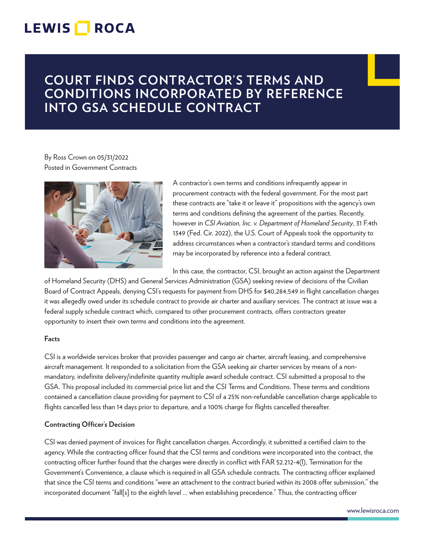# LEWIS **NOCA**

# **COURT FINDS CONTRACTOR'S TERMS AND CONDITIONS INCORPORATED BY REFERENCE INTO GSA SCHEDULE CONTRACT**

### By Ross Crown on 05/31/2022 Posted in Government Contracts



A contractor's own terms and conditions infrequently appear in procurement contracts with the federal government. For the most part these contracts are "take it or leave it" propositions with the agency's own terms and conditions defining the agreement of the parties. Recently, however in *CSI Aviation, Inc. v. Department of Homeland Security*, 31 F.4th 1349 (Fed. Cir. 2022), the U.S. Court of Appeals took the opportunity to address circumstances when a contractor's standard terms and conditions may be incorporated by reference into a federal contract.

In this case, the contractor, CSI, brought an action against the Department

of Homeland Security (DHS) and General Services Administration (GSA) seeking review of decisions of the Civilian Board of Contract Appeals, denying CSI's requests for payment from DHS for \$40,284,549 in flight cancellation charges it was allegedly owed under its schedule contract to provide air charter and auxiliary services. The contract at issue was a federal supply schedule contract which, compared to other procurement contracts, offers contractors greater opportunity to insert their own terms and conditions into the agreement.

### **Facts**

CSI is a worldwide services broker that provides passenger and cargo air charter, aircraft leasing, and comprehensive aircraft management. It responded to a solicitation from the GSA seeking air charter services by means of a nonmandatory, indefinite delivery/indefinite quantity multiple award schedule contract. CSI submitted a proposal to the GSA. This proposal included its commercial price list and the CSI Terms and Conditions. These terms and conditions contained a cancellation clause providing for payment to CSI of a 25% non-refundable cancellation charge applicable to flights cancelled less than 14 days prior to departure, and a 100% charge for flights cancelled thereafter.

### **Contracting Officer's Decision**

CSI was denied payment of invoices for flight cancellation charges. Accordingly, it submitted a certified claim to the agency. While the contracting officer found that the CSI terms and conditions were incorporated into the contract, the contracting officer further found that the charges were directly in conflict with FAR 52.212-4(l), Termination for the Government's Convenience, a clause which is required in all GSA schedule contracts. The contracting officer explained that since the CSI terms and conditions "were an attachment to the contract buried within its 2008 offer submission," the incorporated document "fall[s] to the eighth level ... when establishing precedence." Thus, the contracting officer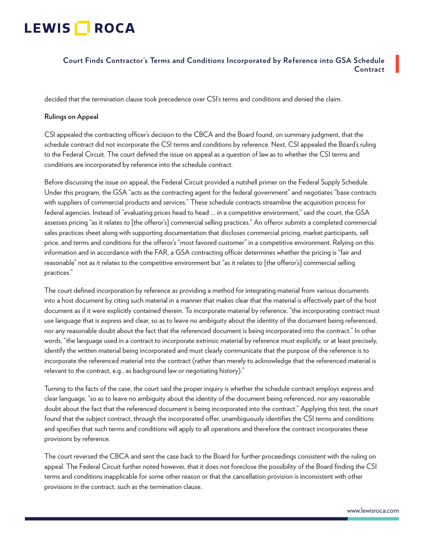# LEWIS **NOCA**

## **Court Finds Contractor's Terms and Conditions Incorporated by Reference into GSA Schedule Contract**

decided that the termination clause took precedence over CSI's terms and conditions and denied the claim.

#### **Rulings on Appeal**

CSI appealed the contracting officer's decision to the CBCA and the Board found, on summary judgment, that the schedule contract did not incorporate the CSI terms and conditions by reference. Next, CSI appealed the Board's ruling to the Federal Circuit. The court defined the issue on appeal as a question of law as to whether the CSI terms and conditions are incorporated by reference into the schedule contract.

Before discussing the issue on appeal, the Federal Circuit provided a nutshell primer on the Federal Supply Schedule. Under this program, the GSA "acts as the contracting agent for the federal government" and negotiates "base contracts with suppliers of commercial products and services." These schedule contracts streamline the acquisition process for federal agencies. Instead of "evaluating prices head to head ... in a competitive environment," said the court, the GSA assesses pricing "as it relates to [the offeror's] commercial selling practices." An offeror submits a completed commercial sales practices sheet along with supporting documentation that discloses commercial pricing, market participants, sell price, and terms and conditions for the offeror's "most favored customer" in a competitive environment. Relying on this information and in accordance with the FAR, a GSA contracting officer determines whether the pricing is "fair and reasonable" not as it relates to the competitive environment but "as it relates to [the offeror's] commercial selling practices."

The court defined incorporation by reference as providing a method for integrating material from various documents into a host document by citing such material in a manner that makes clear that the material is effectively part of the host document as if it were explicitly contained therein. To incorporate material by reference, "the incorporating contract must use language that is express and clear, so as to leave no ambiguity about the identity of the document being referenced, nor any reasonable doubt about the fact that the referenced document is being incorporated into the contract." In other words, "the language used in a contract to incorporate extrinsic material by reference must explicitly, or at least precisely, identify the written material being incorporated and must clearly communicate that the purpose of the reference is to incorporate the referenced material into the contract (rather than merely to acknowledge that the referenced material is relevant to the contract, e.g., as background law or negotiating history)."

Turning to the facts of the case, the court said the proper inquiry is whether the schedule contract employs express and clear language, "so as to leave no ambiguity about the identity of the document being referenced, nor any reasonable doubt about the fact that the referenced document is being incorporated into the contract." Applying this test, the court found that the subject contract, through the incorporated offer, unambiguously identifies the CSI terms and conditions and specifies that such terms and conditions will apply to all operations and therefore the contract incorporates these provisions by reference.

The court reversed the CBCA and sent the case back to the Board for further proceedings consistent with the ruling on appeal. The Federal Circuit further noted however, that it does not foreclose the possibility of the Board finding the CSI terms and conditions inapplicable for some other reason or that the cancellation provision is inconsistent with other provisions in the contract, such as the termination clause.